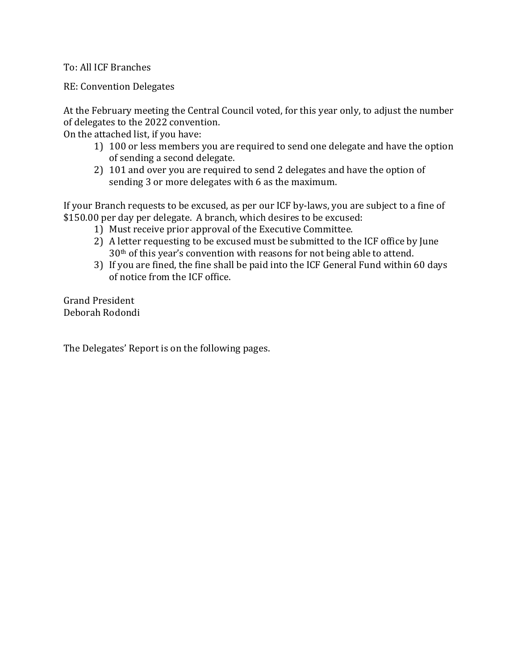To: All ICF Branches

RE: Convention Delegates

At the February meeting the Central Council voted, for this year only, to adjust the number of delegates to the 2022 convention.

On the attached list, if you have:

- 1) 100 or less members you are required to send one delegate and have the option of sending a second delegate.
- 2) 101 and over you are required to send 2 delegates and have the option of sending 3 or more delegates with 6 as the maximum.

If your Branch requests to be excused, as per our ICF by-laws, you are subject to a fine of \$150.00 per day per delegate. A branch, which desires to be excused:

- 1) Must receive prior approval of the Executive Committee.
- 2) A letter requesting to be excused must be submitted to the ICF office by June 30th of this year's convention with reasons for not being able to attend.
- 3) If you are fined, the fine shall be paid into the ICF General Fund within 60 days of notice from the ICF office.

Grand President Deborah Rodondi

The Delegates' Report is on the following pages.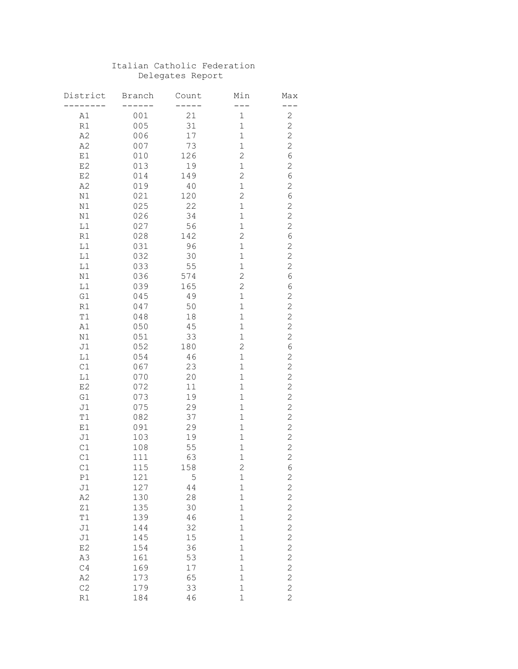## Italian Catholic Federation Delegates Report

| District             | <b>Branch</b> | Count     | Min                           | Max                              |
|----------------------|---------------|-----------|-------------------------------|----------------------------------|
|                      |               |           |                               |                                  |
| A1                   | 001           | 21        | $\mathbf 1$                   | $\mathbf{2}$                     |
| R1                   | 005           | 31        | $\mathbf 1$                   | $\overline{c}$                   |
| A2                   | 006           | 17        | $\mathbf 1$                   | $\overline{c}$                   |
| A2                   | 007           | 73        | $\mathbf 1$                   | $\overline{c}$                   |
| $\rm E1$             | 010           | 126       | $\overline{c}$                | $\sqrt{6}$                       |
| E2                   | 013           | 19        | $\mathbf 1$                   | $\overline{c}$                   |
| E2                   | 014           | 149       | $\overline{c}$                | $\sqrt{6}$                       |
| A2                   | 019           | 40        | $\mathbf 1$                   | $\mathbf{2}$                     |
| $\rm N1$             | 021           | 120       | $\overline{c}$                | 6                                |
| $\rm N1$             | 025           | 22        | $\mathbf 1$                   | $\mathbf{2}$                     |
| N1                   | 026           | 34        | $\mathbf 1$                   | $\mathbf{2}$                     |
| L1                   | 027           | 56        | $\mathbf 1$                   | $\mathbf{2}$                     |
| R1                   | 028           | 142       | $\overline{c}$                | 6                                |
| $^{\mbox{\tiny L1}}$ | 031           | 96        | $\mathbf 1$                   | $\mathbf{2}$                     |
| L1                   | 032           | 30        | $\mathbf 1$                   | $\overline{c}$                   |
| L1                   | 033           | 55        | $\mathbf 1$                   | $\overline{c}$                   |
| N1                   | 036           | 574       | $\overline{c}$                | 6                                |
| L1                   | 039           | 165       | $\overline{c}$                | 6                                |
| G1                   | 045           | 49        | $\mathbf 1$                   | $\overline{c}$                   |
| R1                   | 047           | 50        | $\mathbf 1$                   | $\overline{c}$                   |
| T1                   |               | 18        | $\mathbf 1$                   |                                  |
|                      | 048           | 45        | $\mathbf 1$                   | $\overline{c}$                   |
| A1                   | 050           |           |                               | $\overline{c}$<br>$\overline{c}$ |
| N1                   | 051           | 33<br>180 | $\mathbf 1$<br>$\overline{c}$ | $\overline{6}$                   |
| J1                   | 052           |           |                               |                                  |
| L1                   | 054           | 46        | $\mathbf 1$                   | $\overline{c}$                   |
| C1                   | 067           | 23        | $\mathbf 1$                   | $\overline{c}$                   |
| L1                   | 070           | 20        | $\mathbf 1$                   | $\overline{c}$                   |
| E <sub>2</sub>       | 072           | 11        | $\mathbf 1$                   | $\overline{c}$                   |
| G1                   | 073           | 19        | $\mathbf 1$                   | $\overline{c}$                   |
| J1                   | 075           | 29        | $\mathbf 1$                   | $\overline{c}$                   |
| T1                   | 082           | 37        | $\mathbf 1$                   | $\overline{c}$                   |
| $\rm E1$             | 091           | 29        | $\mathbf 1$                   | $\overline{c}$                   |
| J1                   | 103           | 19        | $\mathbf 1$                   | $\overline{c}$                   |
| C1                   | 108           | 55        | $\mathbf 1$                   | $\overline{c}$                   |
| C1                   | 111           | 63        | $\mathbf 1$                   | $\overline{c}$                   |
| C1                   | 115           | 158       | $\overline{c}$                | 6                                |
| P1                   | 121           | 5         | $\mathbf 1$                   |                                  |
| J1                   | 127           | 44        | $\mathbf 1$                   |                                  |
| A2                   | 130           | 28        | $\mathbf 1$                   |                                  |
| Z1                   | 135           | 30        | $\mathbf 1$                   |                                  |
| T1                   | 139           | 46        | $\mathbf{1}$                  |                                  |
| J1                   | 144           | 32        | $\mathbf 1$                   |                                  |
| J1                   | 145           | 15        | $\mathbf 1$                   |                                  |
| E2                   | 154           | 36        | $\mathbf 1$                   | 2 2 2 2 2 2 2 2 2 2 2            |
| A3                   | 161           | 53        | $\mathbf 1$                   |                                  |
| C4                   | 169           | 17        | $\mathbf 1$                   |                                  |
| A2                   | 173           | 65        | $\mathbf 1$                   |                                  |
| C2                   | 179           | 33        | $\mathbf{1}$                  | $\overline{c}$                   |
| R1                   | 184           | 46        | $\mathbf{1}$                  | $\overline{c}$                   |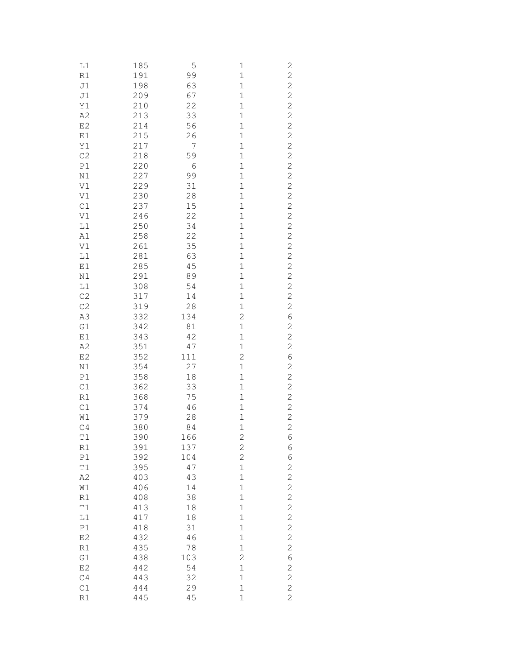| L1                   | 185        | 5              | $\mathbf{1}$                              | $\mathbf{Z}$                                   |
|----------------------|------------|----------------|-------------------------------------------|------------------------------------------------|
| R1                   | 191        | 99             | $\mathbf{1}$                              |                                                |
| J1                   | 198        | 63             | $\mathbf{1}$                              | 222222222                                      |
| J1                   | 209        | 67             | $\mathbf 1$                               |                                                |
| Y1                   | 210        | 22             | $\mathbf{1}$                              |                                                |
| A2                   | 213        | 33             | $\mathbf{1}$                              |                                                |
| E <sub>2</sub>       | 214        | 56             | $\mathbf{1}$                              |                                                |
| E1                   | 215        | 26             | $\mathbf{1}$                              |                                                |
| Y1                   | 217        | $\overline{7}$ | $\mathbf{1}$                              |                                                |
| C <sub>2</sub>       | 218        | 59             | $\mathbf{1}$                              |                                                |
| P1                   | 220        | 6              | $\mathbf{1}$                              |                                                |
| N1                   | 227        | 99             | $\mathbf{1}$                              | $\overline{c}$                                 |
| V1                   | 229        | 31             | $\mathbf{1}$                              | $\overline{c}$                                 |
| V1                   | 230        | 28             | $\mathbf{1}$                              | $\overline{c}$                                 |
| C1                   | 237        | 15             | $\mathbf{1}$                              |                                                |
| V1                   | 246        | 22             | $\mathbf{1}$                              |                                                |
| L1                   | 250        | 34             | $\mathbf{1}$                              |                                                |
| A1                   | 258        | 22             | $\mathbf{1}$                              |                                                |
| V1                   | 261        | 35             | $\mathbf{1}$                              |                                                |
| L1                   | 281        | 63             | $\mathbf{1}$                              |                                                |
| E1                   | 285        | 45             | $\mathbf{1}$                              |                                                |
| N1                   | 291        | 89             | $\mathbf{1}$                              | 2222222222                                     |
| L1                   | 308        | 54             | $\mathbf 1$                               |                                                |
| C <sub>2</sub>       | 317        | 14             | $\mathbf 1$                               |                                                |
| C2                   | 319        | 28             | $\mathbf 1$                               |                                                |
| A3                   | 332        | 134            | $\overline{c}$                            | 6                                              |
| G1                   | 342        | 81             | $\mathbf{1}$                              | $\overline{c}$                                 |
| E1                   | 343        | 42             | $\mathbf{1}$                              |                                                |
| A2                   | 351        | 47             | $\mathbf{1}$                              | $\begin{array}{c}\n 2 \\ 2 \\ 6\n \end{array}$ |
| E <sub>2</sub>       | 352        | 111            | $\overline{c}$                            |                                                |
| $\rm N1$             | 354        | 27             | $\mathbf{1}$                              |                                                |
| $\mathbb{P}1$        | 358        | 18             | $\mathbf 1$                               |                                                |
| C1                   | 362        | 33             | $\mathbf 1$                               |                                                |
| R1                   | 368        | 75             | $\mathbf 1$                               |                                                |
| C1                   | 374<br>379 | 46             | $\mathbf 1$                               |                                                |
| W1<br>C <sub>4</sub> | 380        | 28<br>84       | $\mathbf 1$<br>$\mathbf 1$                |                                                |
| T1                   | 390        | 166            | $\overline{c}$                            | 2 2 2 2 2 2 6                                  |
| R1                   | 391        | 137            |                                           | 6                                              |
| P1                   | 392        | 104            | $\overline{\mathbf{c}}$<br>$\overline{c}$ | 6                                              |
| T1                   | 395        | 47             | $\mathbf{1}$                              | $\overline{c}$                                 |
| A2                   | 403        | 43             | $\mathbf{1}$                              | $\overline{c}$                                 |
| W1                   | 406        | 14             | $\mathbf{1}$                              | $\overline{c}$                                 |
| R1                   | 408        | 38             | $\mathbf{1}$                              |                                                |
| T1                   | 413        | 18             | $\mathbf{1}$                              |                                                |
| L1                   | 417        | 18             | $\mathbf{1}$                              |                                                |
| P1                   | 418        | 31             | $\mathbf 1$                               |                                                |
| E2                   | 432        | 46             | $\mathbf 1$                               | $2222$<br>$222$                                |
| R1                   | 435        | 78             | $\mathbf 1$                               | $\overline{c}$                                 |
| G1                   | 438        | 103            | $\overline{c}$                            | 6                                              |
| E2                   | 442        | 54             | $\mathbf{1}$                              | $\overline{c}$                                 |
| C4                   | 443        | 32             | $\mathbf{1}$                              | $\overline{c}$                                 |
| C1                   | 444        | 29             | $\mathbf{1}$                              | $\overline{c}$                                 |
| R1                   | 445        | 45             | $\mathbf 1$                               | $\overline{c}$                                 |
|                      |            |                |                                           |                                                |